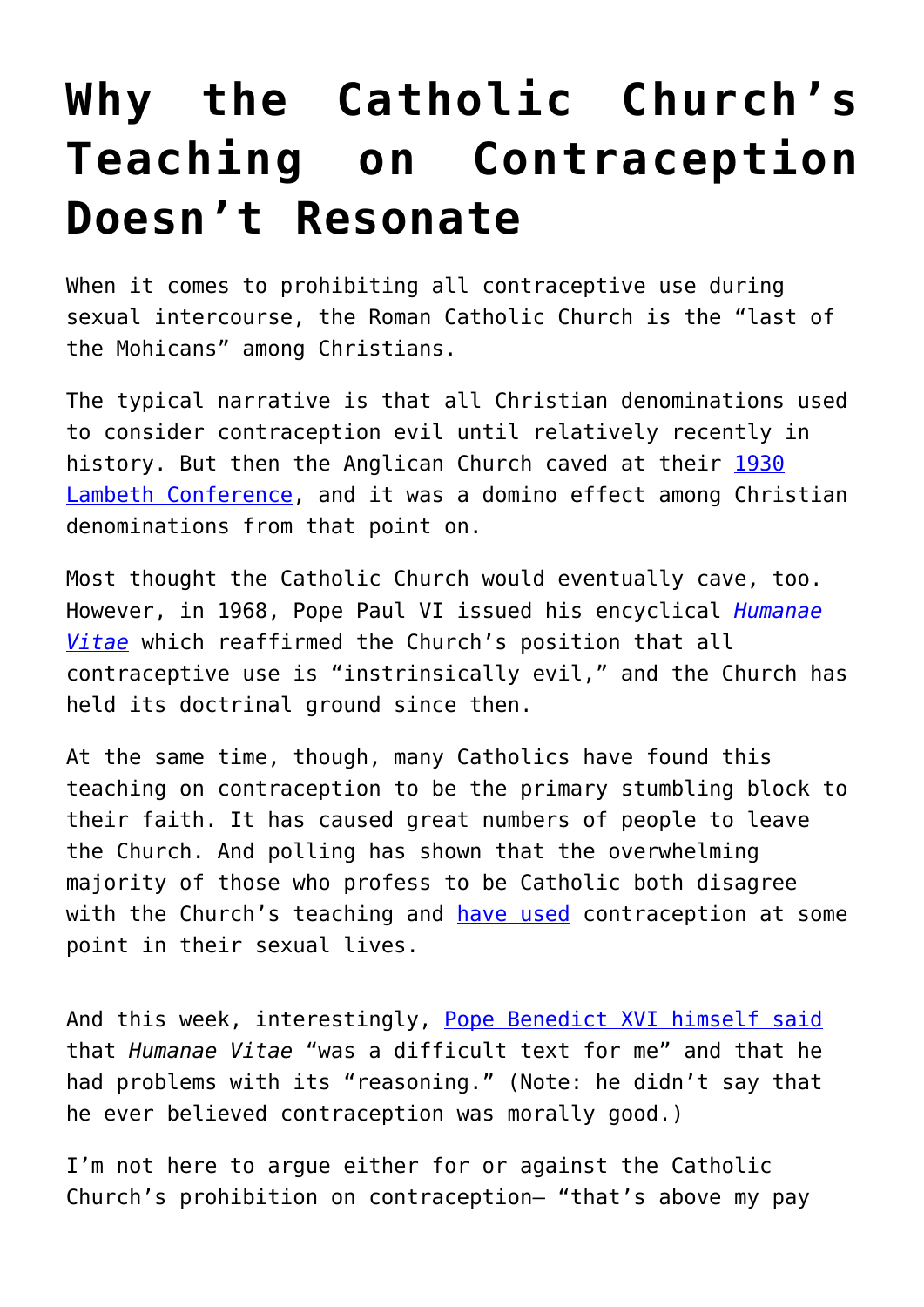## **[Why the Catholic Church's](https://intellectualtakeout.org/2016/09/why-the-catholic-churchs-teaching-on-contraception-doesnt-resonate/) [Teaching on Contraception](https://intellectualtakeout.org/2016/09/why-the-catholic-churchs-teaching-on-contraception-doesnt-resonate/) [Doesn't Resonate](https://intellectualtakeout.org/2016/09/why-the-catholic-churchs-teaching-on-contraception-doesnt-resonate/)**

When it comes to prohibiting all contraceptive use during sexual intercourse, the Roman Catholic Church is the "last of the Mohicans" among Christians.

The typical narrative is that all Christian denominations used to consider contraception evil until relatively recently in history. But then the Anglican Church caved at their [1930](http://www.catholic.com/tracts/birth-control) [Lambeth Conference,](http://www.catholic.com/tracts/birth-control) and it was a domino effect among Christian denominations from that point on.

Most thought the Catholic Church would eventually cave, too. However, in 1968, Pope Paul VI issued his encyclical *[Humanae](https://www.intellectualtakeout.org/blog/popes-famous-4-predictions-about-contraception) [Vitae](https://www.intellectualtakeout.org/blog/popes-famous-4-predictions-about-contraception)* which reaffirmed the Church's position that all contraceptive use is "instrinsically evil," and the Church has held its doctrinal ground since then.

At the same time, though, many Catholics have found this teaching on contraception to be the primary stumbling block to their faith. It has caused great numbers of people to leave the Church. And polling has shown that the overwhelming majority of those who profess to be Catholic both disagree with the Church's teaching and [have used](https://www.guttmacher.org/religion-and-family-planning-tables) contraception at some point in their sexual lives.

And this week, interestingly, [Pope Benedict XVI himself said](https://www.ncronline.org/news/vatican/benedict-reveals-dissatisfaction-paul-vis-humanae-vitae) that *Humanae Vitae* "was a difficult text for me" and that he had problems with its "reasoning." (Note: he didn't say that he ever believed contraception was morally good.)

I'm not here to arque either for or against the Catholic Church's prohibition on contraception— "that's above my pay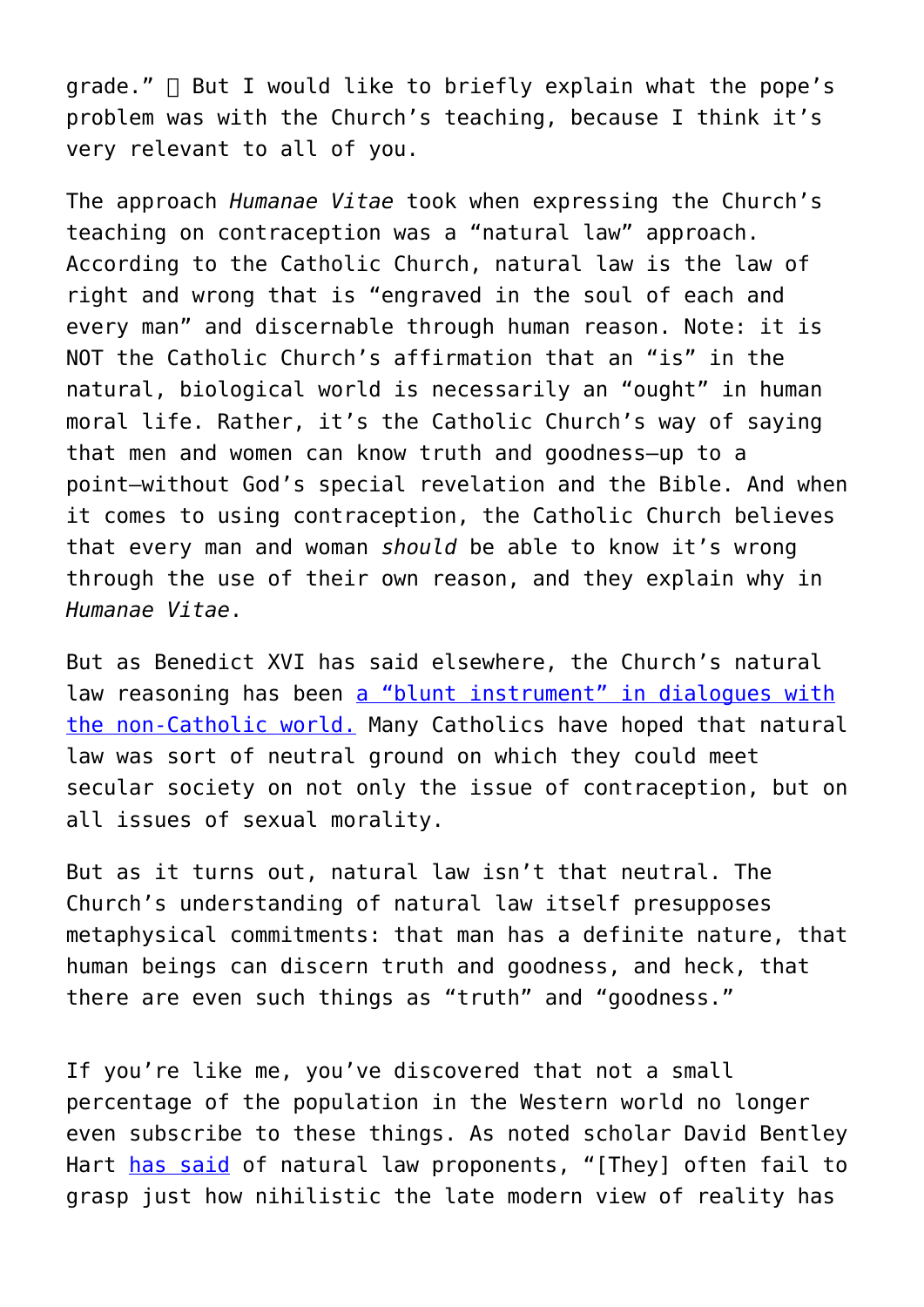$grade.''$   $□$  But I would like to briefly explain what the pope's problem was with the Church's teaching, because I think it's very relevant to all of you.

The approach *Humanae Vitae* took when expressing the Church's teaching on contraception was a "natural law" approach. According to the Catholic Church, natural law is the law of right and wrong that is "engraved in the soul of each and every man" and discernable through human reason. Note: it is NOT the Catholic Church's affirmation that an "is" in the natural, biological world is necessarily an "ought" in human moral life. Rather, it's the Catholic Church's way of saying that men and women can know truth and goodness—up to a point—without God's special revelation and the Bible. And when it comes to using contraception, the Catholic Church believes that every man and woman *should* be able to know it's wrong through the use of their own reason, and they explain why in *Humanae Vitae*.

But as Benedict XVI has said elsewhere, the Church's natural law reasoning has been [a "blunt instrument" in dialogues with](http://www.jp2institute.org/index.php/31-natural-law-from-neo-scholasticism-to-nuptial-mysticism/file) [the non-Catholic world.](http://www.jp2institute.org/index.php/31-natural-law-from-neo-scholasticism-to-nuptial-mysticism/file) Many Catholics have hoped that natural law was sort of neutral ground on which they could meet secular society on not only the issue of contraception, but on all issues of sexual morality.

But as it turns out, natural law isn't that neutral. The Church's understanding of natural law itself presupposes metaphysical commitments: that man has a definite nature, that human beings can discern truth and goodness, and heck, that there are even such things as "truth" and "goodness."

If you're like me, you've discovered that not a small percentage of the population in the Western world no longer even subscribe to these things. As noted scholar David Bentley Hart [has said](https://www.firstthings.com/article/2015/03/reasons-faith) of natural law proponents, "[They] often fail to grasp just how nihilistic the late modern view of reality has